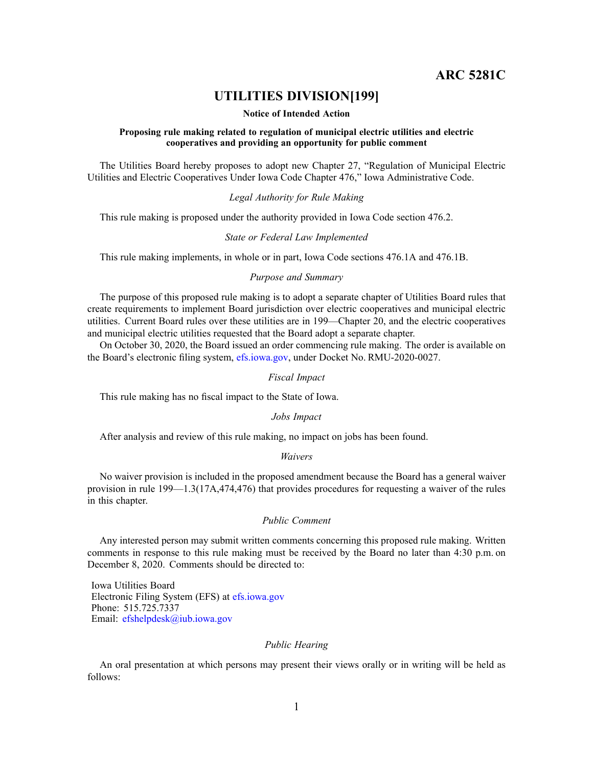**ARC 5281C**

# **UTILITIES DIVISION[199]**

#### **Notice of Intended Action**

### **Proposing rule making related to regulation of municipal electric utilities and electric cooperatives and providing an opportunity for public comment**

The Utilities Board hereby proposes to adopt new Chapter 27, "Regulation of Municipal Electric Utilities and Electric Cooperatives Under Iowa Code Chapter 476," Iowa Administrative Code.

# *Legal Authority for Rule Making*

This rule making is proposed under the authority provided in Iowa Code section 476.2.

#### *State or Federal Law Implemented*

This rule making implements, in whole or in part, Iowa Code sections 476.1A and 476.1B.

# *Purpose and Summary*

The purpose of this proposed rule making is to adopt <sup>a</sup> separate chapter of Utilities Board rules that create requirements to implement Board jurisdiction over electric cooperatives and municipal electric utilities. Current Board rules over these utilities are in 199—Chapter 20, and the electric cooperatives and municipal electric utilities requested that the Board adopt <sup>a</sup> separate chapter.

On October 30, 2020, the Board issued an order commencing rule making. The order is available on the Board's electronic filing system, [efs.iowa.gov](http://efs.iowa.gov), under Docket No. RMU-2020-0027.

#### *Fiscal Impact*

This rule making has no fiscal impact to the State of Iowa.

### *Jobs Impact*

After analysis and review of this rule making, no impact on jobs has been found.

#### *Waivers*

No waiver provision is included in the proposed amendment because the Board has <sup>a</sup> general waiver provision in rule 199—1.3(17A,474,476) that provides procedures for requesting <sup>a</sup> waiver of the rules in this chapter.

## *Public Comment*

Any interested person may submit written comments concerning this proposed rule making. Written comments in response to this rule making must be received by the Board no later than 4:30 p.m. on December 8, 2020. Comments should be directed to:

Iowa Utilities Board Electronic Filing System (EFS) at [efs.iowa.gov](http://efs.iowa.gov) Phone: 515.725.7337 Email: [efshelpdesk@iub.iowa.gov](mailto:efshelpdesk@iub.iowa.gov)

# *Public Hearing*

An oral presentation at which persons may presen<sup>t</sup> their views orally or in writing will be held as follows: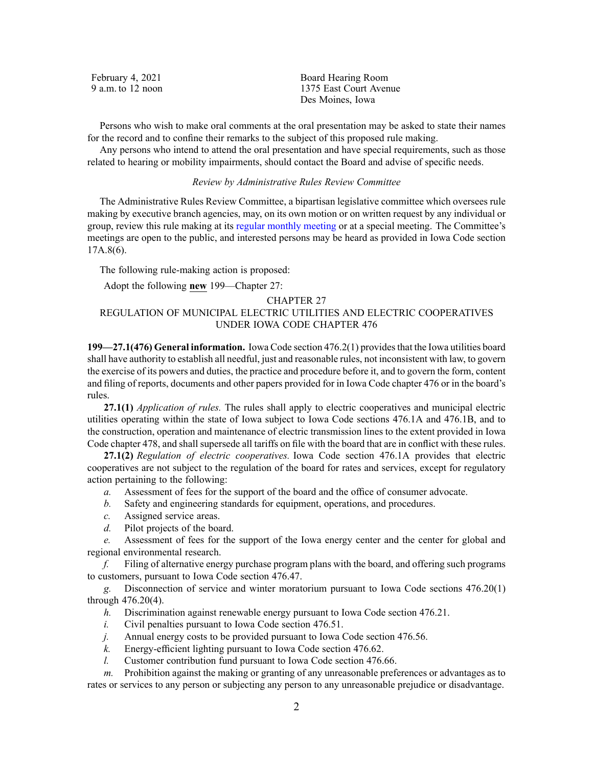| February 4, 2021  | Board Hearing Room     |
|-------------------|------------------------|
| 9 a.m. to 12 noon | 1375 East Court Avenue |
|                   | Des Moines, Iowa       |

Persons who wish to make oral comments at the oral presentation may be asked to state their names for the record and to confine their remarks to the subject of this proposed rule making.

Any persons who intend to attend the oral presentation and have special requirements, such as those related to hearing or mobility impairments, should contact the Board and advise of specific needs.

# *Review by Administrative Rules Review Committee*

The Administrative Rules Review Committee, <sup>a</sup> bipartisan legislative committee which oversees rule making by executive branch agencies, may, on its own motion or on written reques<sup>t</sup> by any individual or group, review this rule making at its regular [monthly](https://www.legis.iowa.gov/committees/meetings/meetingsListComm?groupID=705&ga=88) meeting or at <sup>a</sup> special meeting. The Committee's meetings are open to the public, and interested persons may be heard as provided in Iowa Code section 17A.8(6).

The following rule-making action is proposed:

Adopt the following **new** 199—Chapter 27:

# CHAPTER 27 REGULATION OF MUNICIPAL ELECTRIC UTILITIES AND ELECTRIC COOPERATIVES UNDER IOWA CODE CHAPTER [476](https://www.legis.iowa.gov/docs/ico/chapter/476.pdf)

**199—27.1(476) General information.** Iowa Code section [476.2\(1\)](https://www.legis.iowa.gov/docs/ico/section/476.2.pdf) providesthat the Iowa utilities board shall have authority to establish all needful, just and reasonable rules, not inconsistent with law, to govern the exercise of its powers and duties, the practice and procedure before it, and to govern the form, content and filing of reports, documents and other papers provided for in Iowa Code chapter [476](https://www.legis.iowa.gov/docs/ico/chapter/476.pdf) or in the board's rules.

**27.1(1)** *Application of rules.* The rules shall apply to electric cooperatives and municipal electric utilities operating within the state of Iowa subject to Iowa Code sections [476.1A](https://www.legis.iowa.gov/docs/ico/section/476.1A.pdf) and [476.1B](https://www.legis.iowa.gov/docs/ico/section/476.1B.pdf), and to the construction, operation and maintenance of electric transmission lines to the extent provided in Iowa Code chapter [478](https://www.legis.iowa.gov/docs/ico/chapter/478.pdf), and shall supersede all tariffs on file with the board that are in conflict with these rules.

**27.1(2)** *Regulation of electric cooperatives.* Iowa Code section [476.1A](https://www.legis.iowa.gov/docs/ico/section/476.1A.pdf) provides that electric cooperatives are not subject to the regulation of the board for rates and services, excep<sup>t</sup> for regulatory action pertaining to the following:

- *a.* Assessment of fees for the suppor<sup>t</sup> of the board and the office of consumer advocate.
- *b.* Safety and engineering standards for equipment, operations, and procedures.
- *c.* Assigned service areas.
- *d.* Pilot projects of the board.

*e.* Assessment of fees for the suppor<sup>t</sup> of the Iowa energy center and the center for global and regional environmental research.

*f.* Filing of alternative energy purchase program plans with the board, and offering such programs to customers, pursuan<sup>t</sup> to Iowa Code section [476.47](https://www.legis.iowa.gov/docs/ico/section/476.47.pdf).

*g.* Disconnection of service and winter moratorium pursuan<sup>t</sup> to Iowa Code sections [476.20\(1\)](https://www.legis.iowa.gov/docs/ico/section/476.20.pdf) through [476.20\(4\)](https://www.legis.iowa.gov/docs/ico/section/476.20.pdf).

- *h.* Discrimination against renewable energy pursuan<sup>t</sup> to Iowa Code section [476.21](https://www.legis.iowa.gov/docs/ico/section/476.21.pdf).
- *i.* Civil penalties pursuan<sup>t</sup> to Iowa Code section [476.51](https://www.legis.iowa.gov/docs/ico/section/476.51.pdf).
- *j.* Annual energy costs to be provided pursuan<sup>t</sup> to Iowa Code section [476.56](https://www.legis.iowa.gov/docs/ico/section/476.56.pdf).
- *k.* Energy-efficient lighting pursuan<sup>t</sup> to Iowa Code section [476.62](https://www.legis.iowa.gov/docs/ico/section/476.62.pdf).
- *l.* Customer contribution fund pursuan<sup>t</sup> to Iowa Code section [476.66](https://www.legis.iowa.gov/docs/ico/section/476.66.pdf).

*m.* Prohibition against the making or granting of any unreasonable preferences or advantages as to rates or services to any person or subjecting any person to any unreasonable prejudice or disadvantage.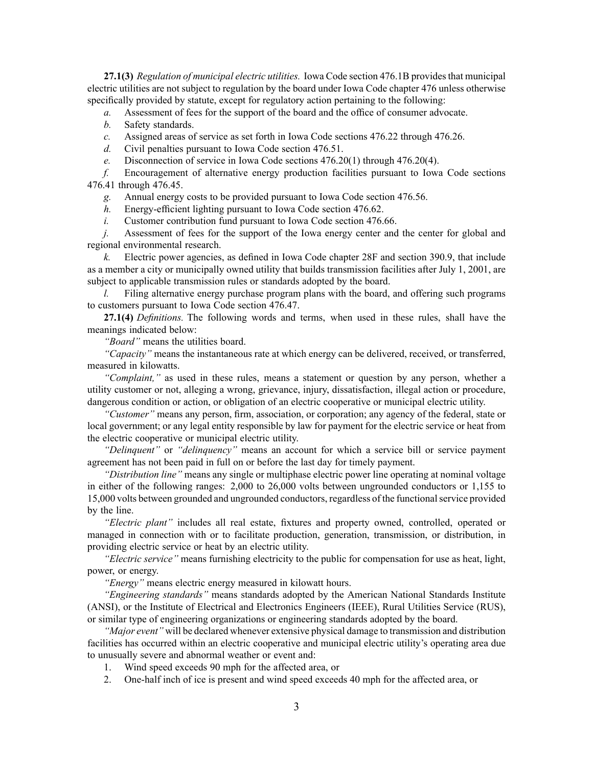**27.1(3)** *Regulation of municipal electric utilities.* Iowa Code section [476.1B](https://www.legis.iowa.gov/docs/ico/section/476.1B.pdf) provides that municipal electric utilities are not subject to regulation by the board under Iowa Code chapter [476](https://www.legis.iowa.gov/docs/ico/chapter/476.pdf) unless otherwise specifically provided by statute, excep<sup>t</sup> for regulatory action pertaining to the following:

- *a.* Assessment of fees for the suppor<sup>t</sup> of the board and the office of consumer advocate.
- *b.* Safety standards.
- *c.* Assigned areas of service as set forth in Iowa Code sections 476.22 [through](https://www.legis.iowa.gov/docs/ico/section/476.22-26.pdf) 476.26.
- *d.* Civil penalties pursuan<sup>t</sup> to Iowa Code section [476.51](https://www.legis.iowa.gov/docs/ico/section/476.51.pdf).
- *e.* Disconnection of service in Iowa Code sections 476.20(1) through [476.20\(4\)](https://www.legis.iowa.gov/docs/ico/section/476.20.pdf).

*f.* Encouragement of alternative energy production facilities pursuan<sup>t</sup> to Iowa Code sections 476.41 [through](https://www.legis.iowa.gov/docs/ico/section/476.41-45.pdf) 476.45.

*g.* Annual energy costs to be provided pursuan<sup>t</sup> to Iowa Code section [476.56](https://www.legis.iowa.gov/docs/ico/section/476.56.pdf).

*h.* Energy-efficient lighting pursuan<sup>t</sup> to Iowa Code section [476.62](https://www.legis.iowa.gov/docs/ico/section/476.62.pdf).

*i.* Customer contribution fund pursuan<sup>t</sup> to Iowa Code section [476.66](https://www.legis.iowa.gov/docs/ico/section/476.66.pdf).

*j.* Assessment of fees for the support of the Iowa energy center and the center for global and regional environmental research.

*k.* Electric power agencies, as defined in Iowa Code chapter [28F](https://www.legis.iowa.gov/docs/ico/chapter/28F.pdf) and section [390.9](https://www.legis.iowa.gov/docs/ico/section/390.9.pdf), that include as <sup>a</sup> member <sup>a</sup> city or municipally owned utility that builds transmission facilities after July 1, 2001, are subject to applicable transmission rules or standards adopted by the board.

*l.* Filing alternative energy purchase program plans with the board, and offering such programs to customers pursuan<sup>t</sup> to Iowa Code section [476.47](https://www.legis.iowa.gov/docs/ico/section/476.47.pdf).

**27.1(4)** *Definitions.* The following words and terms, when used in these rules, shall have the meanings indicated below:

*"Board"* means the utilities board.

*"Capacity"* means the instantaneous rate at which energy can be delivered, received, or transferred, measured in kilowatts.

*"Complaint,"* as used in these rules, means <sup>a</sup> statement or question by any person, whether <sup>a</sup> utility customer or not, alleging <sup>a</sup> wrong, grievance, injury, dissatisfaction, illegal action or procedure, dangerous condition or action, or obligation of an electric cooperative or municipal electric utility.

*"Customer"* means any person, firm, association, or corporation; any agency of the federal, state or local government; or any legal entity responsible by law for paymen<sup>t</sup> for the electric service or heat from the electric cooperative or municipal electric utility.

*"Delinquent"* or *"delinquency"* means an account for which <sup>a</sup> service bill or service paymen<sup>t</sup> agreemen<sup>t</sup> has not been paid in full on or before the last day for timely payment.

*"Distribution line"* means any single or multiphase electric power line operating at nominal voltage in either of the following ranges: 2,000 to 26,000 volts between ungrounded conductors or 1,155 to 15,000 volts between grounded and ungrounded conductors, regardless of the functionalservice provided by the line.

*"Electric plant"* includes all real estate, fixtures and property owned, controlled, operated or managed in connection with or to facilitate production, generation, transmission, or distribution, in providing electric service or heat by an electric utility.

*"Electric service"* means furnishing electricity to the public for compensation for use as heat, light, power, or energy.

*"Energy"* means electric energy measured in kilowatt hours.

*"Engineering standards"* means standards adopted by the American National Standards Institute (ANSI), or the Institute of Electrical and Electronics Engineers (IEEE), Rural Utilities Service (RUS), or similar type of engineering organizations or engineering standards adopted by the board.

*"Major event"* will be declared whenever extensive physical damage to transmission and distribution facilities has occurred within an electric cooperative and municipal electric utility's operating area due to unusually severe and abnormal weather or event and:

- 1. Wind speed exceeds 90 mph for the affected area, or
- 2. One-half inch of ice is presen<sup>t</sup> and wind speed exceeds 40 mph for the affected area, or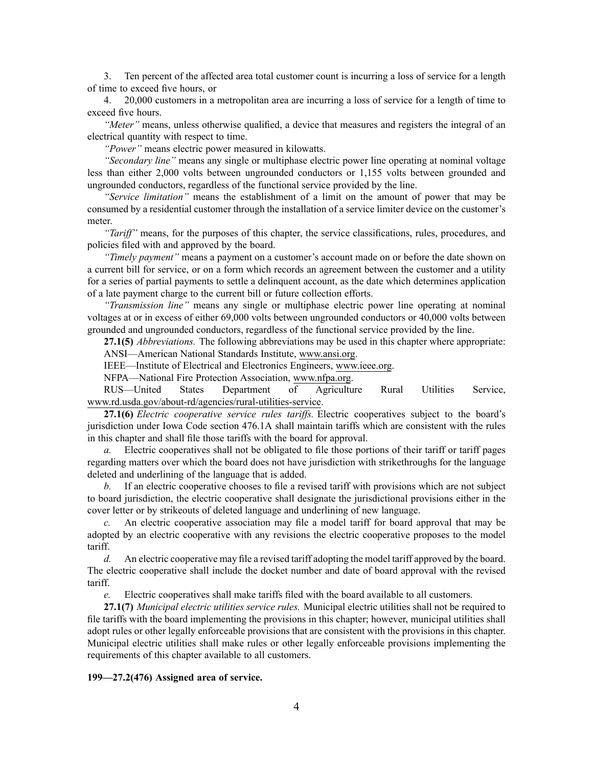3. Ten percen<sup>t</sup> of the affected area total customer count is incurring <sup>a</sup> loss of service for <sup>a</sup> length of time to exceed five hours, or

4. 20,000 customers in <sup>a</sup> metropolitan area are incurring <sup>a</sup> loss of service for <sup>a</sup> length of time to exceed five hours.

*"Meter"* means, unless otherwise qualified, <sup>a</sup> device that measures and registers the integral of an electrical quantity with respec<sup>t</sup> to time.

*"Power"* means electric power measured in kilowatts.

*"Secondary line"* means any single or multiphase electric power line operating at nominal voltage less than either 2,000 volts between ungrounded conductors or 1,155 volts between grounded and ungrounded conductors, regardless of the functional service provided by the line.

*"Service limitation"* means the establishment of <sup>a</sup> limit on the amount of power that may be consumed by <sup>a</sup> residential customer through the installation of <sup>a</sup> service limiter device on the customer's meter.

*"Tariff"* means, for the purposes of this chapter, the service classifications, rules, procedures, and policies filed with and approved by the board.

*"Timely payment"* means <sup>a</sup> paymen<sup>t</sup> on <sup>a</sup> customer's account made on or before the date shown on <sup>a</sup> current bill for service, or on <sup>a</sup> form which records an agreemen<sup>t</sup> between the customer and <sup>a</sup> utility for <sup>a</sup> series of partial payments to settle <sup>a</sup> delinquent account, as the date which determines application of <sup>a</sup> late paymen<sup>t</sup> charge to the current bill or future collection efforts.

*"Transmission line"* means any single or multiphase electric power line operating at nominal voltages at or in excess of either 69,000 volts between ungrounded conductors or 40,000 volts between grounded and ungrounded conductors, regardless of the functional service provided by the line.

**27.1(5)** *Abbreviations.* The following abbreviations may be used in this chapter where appropriate:

ANSI—American National Standards Institute, [www.ansi.org](http://www.ansi.org).

IEEE—Institute of Electrical and Electronics Engineers, [www.ieee.org](http://www.ieee.org).

NFPA—National Fire Protection Association, [www.nfpa.org](http://www.nfpa.org).

RUS—United States Department of Agriculture Rural Utilities Service, [www.rd.usda.gov/about-rd/agencies/rural-utilities-service](http://www.rd.usda.gov/about-rd/agencies/rural-utilities-service).

**27.1(6)** *Electric cooperative service rules tariffs.* Electric cooperatives subject to the board's jurisdiction under Iowa Code section [476.1A](https://www.legis.iowa.gov/docs/ico/section/476.1A.pdf) shall maintain tariffs which are consistent with the rules in this chapter and shall file those tariffs with the board for approval.

*a.* Electric cooperatives shall not be obligated to file those portions of their tariff or tariff pages regarding matters over which the board does not have jurisdiction with strikethroughs for the language deleted and underlining of the language that is added.

*b.* If an electric cooperative chooses to file <sup>a</sup> revised tariff with provisions which are not subject to board jurisdiction, the electric cooperative shall designate the jurisdictional provisions either in the cover letter or by strikeouts of deleted language and underlining of new language.

*c.* An electric cooperative association may file <sup>a</sup> model tariff for board approval that may be adopted by an electric cooperative with any revisions the electric cooperative proposes to the model tariff.

*d.* An electric cooperative may file <sup>a</sup> revised tariff adopting the model tariff approved by the board. The electric cooperative shall include the docket number and date of board approval with the revised tariff.

*e.* Electric cooperatives shall make tariffs filed with the board available to all customers.

**27.1(7)** *Municipal electric utilities service rules.* Municipal electric utilities shall not be required to file tariffs with the board implementing the provisions in this chapter; however, municipal utilities shall adopt rules or other legally enforceable provisions that are consistent with the provisions in this chapter. Municipal electric utilities shall make rules or other legally enforceable provisions implementing the requirements of this chapter available to all customers.

# **199—27.2(476) Assigned area of service.**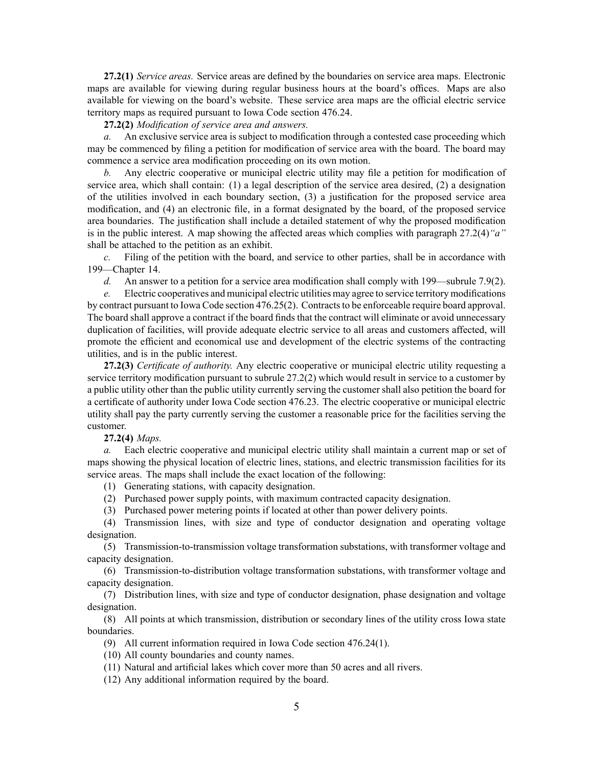**27.2(1)** *Service areas.* Service areas are defined by the boundaries on service area maps. Electronic maps are available for viewing during regular business hours at the board's offices. Maps are also available for viewing on the board's website. These service area maps are the official electric service territory maps as required pursuan<sup>t</sup> to Iowa Code section [476.24](https://www.legis.iowa.gov/docs/ico/section/476.24.pdf).

**27.2(2)** *Modification of service area and answers.*

*a.* An exclusive service area is subject to modification through <sup>a</sup> contested case proceeding which may be commenced by filing <sup>a</sup> petition for modification of service area with the board. The board may commence <sup>a</sup> service area modification proceeding on its own motion.

*b.* Any electric cooperative or municipal electric utility may file <sup>a</sup> petition for modification of service area, which shall contain: (1) <sup>a</sup> legal description of the service area desired, (2) <sup>a</sup> designation of the utilities involved in each boundary section, (3) <sup>a</sup> justification for the proposed service area modification, and (4) an electronic file, in <sup>a</sup> format designated by the board, of the proposed service area boundaries. The justification shall include <sup>a</sup> detailed statement of why the proposed modification is in the public interest. A map showing the affected areas which complies with paragraph [27.2\(4\)](https://www.legis.iowa.gov/docs/iac/rule/199.27.2.pdf)*"a"* shall be attached to the petition as an exhibit.

*c.* Filing of the petition with the board, and service to other parties, shall be in accordance with [199—Chapter](https://www.legis.iowa.gov/docs/iac/chapter/199.14.pdf) 14.

*d.* An answer to a petition for a service area modification shall comply with [199—subrule](https://www.legis.iowa.gov/docs/iac/rule/199.7.9.pdf) 7.9(2).

*e.* Electric cooperatives and municipal electric utilities may agree to service territory modifications by contract pursuan<sup>t</sup> to Iowa Code section [476.25\(2\)](https://www.legis.iowa.gov/docs/ico/section/476.25.pdf). Contractsto be enforceable require board approval. The board shall approve <sup>a</sup> contract if the board finds that the contract will eliminate or avoid unnecessary duplication of facilities, will provide adequate electric service to all areas and customers affected, will promote the efficient and economical use and development of the electric systems of the contracting utilities, and is in the public interest.

**27.2(3)** *Certificate of authority.* Any electric cooperative or municipal electric utility requesting <sup>a</sup> service territory modification pursuan<sup>t</sup> to subrule [27.2\(2\)](https://www.legis.iowa.gov/docs/iac/rule/199.27.2.pdf) which would result in service to <sup>a</sup> customer by <sup>a</sup> public utility other than the public utility currently serving the customer shall also petition the board for <sup>a</sup> certificate of authority under Iowa Code section [476.23](https://www.legis.iowa.gov/docs/ico/section/476.23.pdf). The electric cooperative or municipal electric utility shall pay the party currently serving the customer <sup>a</sup> reasonable price for the facilities serving the customer.

**27.2(4)** *Maps.*

*a.* Each electric cooperative and municipal electric utility shall maintain <sup>a</sup> current map or set of maps showing the physical location of electric lines, stations, and electric transmission facilities for its service areas. The maps shall include the exact location of the following:

(1) Generating stations, with capacity designation.

(2) Purchased power supply points, with maximum contracted capacity designation.

(3) Purchased power metering points if located at other than power delivery points.

(4) Transmission lines, with size and type of conductor designation and operating voltage designation.

(5) Transmission-to-transmission voltage transformation substations, with transformer voltage and capacity designation.

(6) Transmission-to-distribution voltage transformation substations, with transformer voltage and capacity designation.

(7) Distribution lines, with size and type of conductor designation, phase designation and voltage designation.

(8) All points at which transmission, distribution or secondary lines of the utility cross Iowa state boundaries.

- (9) All current information required in Iowa Code section [476.24\(1\)](https://www.legis.iowa.gov/docs/ico/section/476.24.pdf).
- (10) All county boundaries and county names.
- (11) Natural and artificial lakes which cover more than 50 acres and all rivers.
- (12) Any additional information required by the board.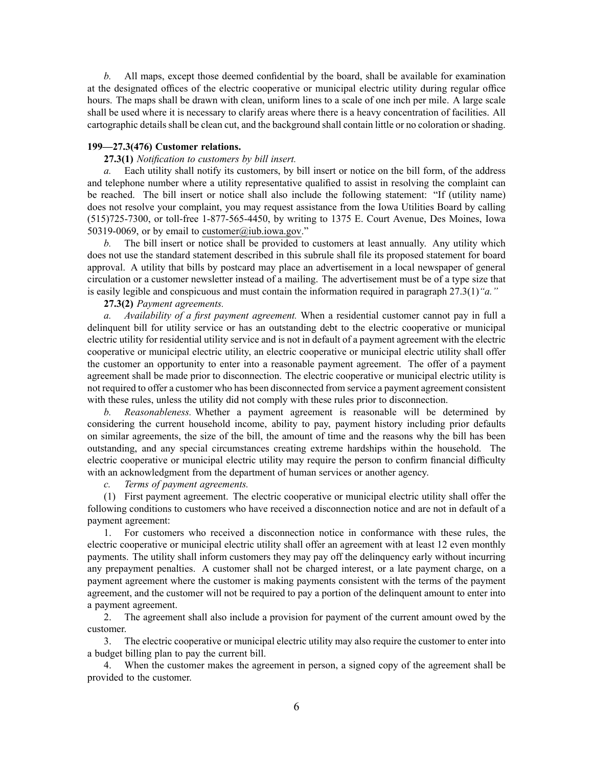*b.* All maps, excep<sup>t</sup> those deemed confidential by the board, shall be available for examination at the designated offices of the electric cooperative or municipal electric utility during regular office hours. The maps shall be drawn with clean, uniform lines to <sup>a</sup> scale of one inch per mile. A large scale shall be used where it is necessary to clarify areas where there is <sup>a</sup> heavy concentration of facilities. All cartographic details shall be clean cut, and the background shall contain little or no coloration or shading.

### **199—27.3(476) Customer relations.**

# **27.3(1)** *Notification to customers by bill insert.*

*a.* Each utility shall notify its customers, by bill insert or notice on the bill form, of the address and telephone number where <sup>a</sup> utility representative qualified to assist in resolving the complaint can be reached. The bill insert or notice shall also include the following statement: "If (utility name) does not resolve your complaint, you may reques<sup>t</sup> assistance from the Iowa Utilities Board by calling (515)725-7300, or toll-free 1-877-565-4450, by writing to 1375 E. Court Avenue, Des Moines, Iowa 50319-0069, or by email to [customer@iub.iowa.gov](mailto:customer@iub.iowa.gov)."

*b.* The bill insert or notice shall be provided to customers at least annually. Any utility which does not use the standard statement described in this subrule shall file its proposed statement for board approval. A utility that bills by postcard may place an advertisement in <sup>a</sup> local newspaper of general circulation or <sup>a</sup> customer newsletter instead of <sup>a</sup> mailing. The advertisement must be of <sup>a</sup> type size that is easily legible and conspicuous and must contain the information required in paragraph [27.3\(1\)](https://www.legis.iowa.gov/docs/iac/rule/199.27.3.pdf)*"a."*

# **27.3(2)** *Payment agreements.*

*a. Availability of <sup>a</sup> first paymen<sup>t</sup> agreement.* When <sup>a</sup> residential customer cannot pay in full <sup>a</sup> delinquent bill for utility service or has an outstanding debt to the electric cooperative or municipal electric utility for residential utility service and is not in default of <sup>a</sup> paymen<sup>t</sup> agreemen<sup>t</sup> with the electric cooperative or municipal electric utility, an electric cooperative or municipal electric utility shall offer the customer an opportunity to enter into <sup>a</sup> reasonable paymen<sup>t</sup> agreement. The offer of <sup>a</sup> paymen<sup>t</sup> agreemen<sup>t</sup> shall be made prior to disconnection. The electric cooperative or municipal electric utility is not required to offer <sup>a</sup> customer who has been disconnected from service <sup>a</sup> paymen<sup>t</sup> agreemen<sup>t</sup> consistent with these rules, unless the utility did not comply with these rules prior to disconnection.

*b. Reasonableness.* Whether <sup>a</sup> paymen<sup>t</sup> agreemen<sup>t</sup> is reasonable will be determined by considering the current household income, ability to pay, paymen<sup>t</sup> history including prior defaults on similar agreements, the size of the bill, the amount of time and the reasons why the bill has been outstanding, and any special circumstances creating extreme hardships within the household. The electric cooperative or municipal electric utility may require the person to confirm financial difficulty with an acknowledgment from the department of human services or another agency.

*c. Terms of paymen<sup>t</sup> agreements.*

(1) First paymen<sup>t</sup> agreement. The electric cooperative or municipal electric utility shall offer the following conditions to customers who have received <sup>a</sup> disconnection notice and are not in default of <sup>a</sup> payment agreement:

1. For customers who received <sup>a</sup> disconnection notice in conformance with these rules, the electric cooperative or municipal electric utility shall offer an agreemen<sup>t</sup> with at least 12 even monthly payments. The utility shall inform customers they may pay off the delinquency early without incurring any prepaymen<sup>t</sup> penalties. A customer shall not be charged interest, or <sup>a</sup> late paymen<sup>t</sup> charge, on <sup>a</sup> paymen<sup>t</sup> agreemen<sup>t</sup> where the customer is making payments consistent with the terms of the paymen<sup>t</sup> agreement, and the customer will not be required to pay <sup>a</sup> portion of the delinquent amount to enter into <sup>a</sup> payment agreement.

2. The agreemen<sup>t</sup> shall also include <sup>a</sup> provision for paymen<sup>t</sup> of the current amount owed by the customer.

3. The electric cooperative or municipal electric utility may also require the customer to enter into <sup>a</sup> budget billing plan to pay the current bill.

4. When the customer makes the agreemen<sup>t</sup> in person, <sup>a</sup> signed copy of the agreemen<sup>t</sup> shall be provided to the customer.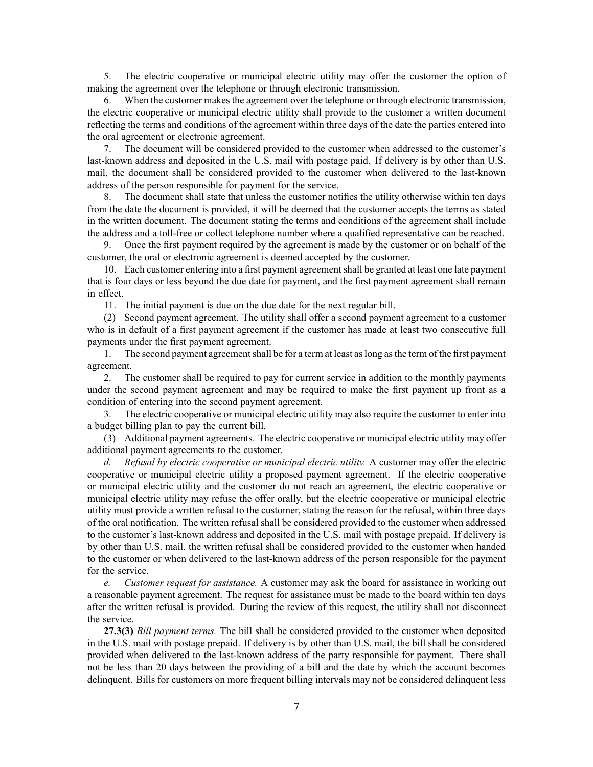5. The electric cooperative or municipal electric utility may offer the customer the option of making the agreemen<sup>t</sup> over the telephone or through electronic transmission.

6. When the customer makes the agreemen<sup>t</sup> over the telephone or through electronic transmission, the electric cooperative or municipal electric utility shall provide to the customer <sup>a</sup> written document reflecting the terms and conditions of the agreemen<sup>t</sup> within three days of the date the parties entered into the oral agreemen<sup>t</sup> or electronic agreement.

7. The document will be considered provided to the customer when addressed to the customer's last-known address and deposited in the U.S. mail with postage paid. If delivery is by other than U.S. mail, the document shall be considered provided to the customer when delivered to the last-known address of the person responsible for paymen<sup>t</sup> for the service.

8. The document shall state that unless the customer notifies the utility otherwise within ten days from the date the document is provided, it will be deemed that the customer accepts the terms as stated in the written document. The document stating the terms and conditions of the agreemen<sup>t</sup> shall include the address and <sup>a</sup> toll-free or collect telephone number where <sup>a</sup> qualified representative can be reached.

9. Once the first paymen<sup>t</sup> required by the agreemen<sup>t</sup> is made by the customer or on behalf of the customer, the oral or electronic agreemen<sup>t</sup> is deemed accepted by the customer.

10. Each customer entering into <sup>a</sup> first paymen<sup>t</sup> agreementshall be granted at least one late paymen<sup>t</sup> that is four days or less beyond the due date for payment, and the first paymen<sup>t</sup> agreemen<sup>t</sup> shall remain in effect.

11. The initial paymen<sup>t</sup> is due on the due date for the next regular bill.

(2) Second paymen<sup>t</sup> agreement. The utility shall offer <sup>a</sup> second paymen<sup>t</sup> agreemen<sup>t</sup> to <sup>a</sup> customer who is in default of <sup>a</sup> first paymen<sup>t</sup> agreemen<sup>t</sup> if the customer has made at least two consecutive full payments under the first paymen<sup>t</sup> agreement.

1. The second paymen<sup>t</sup> agreementshall be for <sup>a</sup> term at least aslong asthe term of the first paymen<sup>t</sup> agreement.

2. The customer shall be required to pay for current service in addition to the monthly payments under the second paymen<sup>t</sup> agreemen<sup>t</sup> and may be required to make the first paymen<sup>t</sup> up front as <sup>a</sup> condition of entering into the second paymen<sup>t</sup> agreement.

3. The electric cooperative or municipal electric utility may also require the customer to enter into <sup>a</sup> budget billing plan to pay the current bill.

(3) Additional paymen<sup>t</sup> agreements. The electric cooperative or municipal electric utility may offer additional paymen<sup>t</sup> agreements to the customer.

*d. Refusal by electric cooperative or municipal electric utility.* A customer may offer the electric cooperative or municipal electric utility <sup>a</sup> proposed paymen<sup>t</sup> agreement. If the electric cooperative or municipal electric utility and the customer do not reach an agreement, the electric cooperative or municipal electric utility may refuse the offer orally, but the electric cooperative or municipal electric utility must provide <sup>a</sup> written refusal to the customer, stating the reason for the refusal, within three days of the oral notification. The written refusal shall be considered provided to the customer when addressed to the customer's last-known address and deposited in the U.S. mail with postage prepaid. If delivery is by other than U.S. mail, the written refusal shall be considered provided to the customer when handed to the customer or when delivered to the last-known address of the person responsible for the paymen<sup>t</sup> for the service.

*e. Customer reques<sup>t</sup> for assistance.* A customer may ask the board for assistance in working out <sup>a</sup> reasonable paymen<sup>t</sup> agreement. The reques<sup>t</sup> for assistance must be made to the board within ten days after the written refusal is provided. During the review of this request, the utility shall not disconnect the service.

**27.3(3)** *Bill paymen<sup>t</sup> terms.* The bill shall be considered provided to the customer when deposited in the U.S. mail with postage prepaid. If delivery is by other than U.S. mail, the bill shall be considered provided when delivered to the last-known address of the party responsible for payment. There shall not be less than 20 days between the providing of <sup>a</sup> bill and the date by which the account becomes delinquent. Bills for customers on more frequent billing intervals may not be considered delinquent less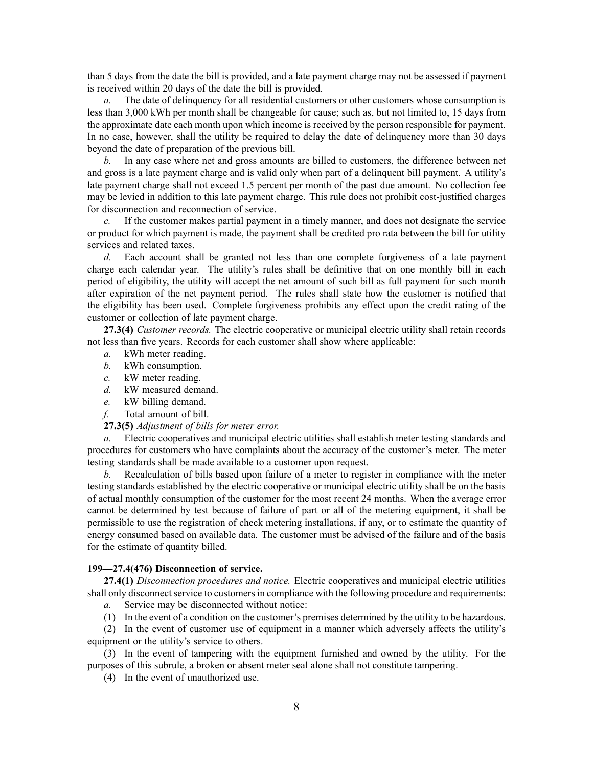than 5 days from the date the bill is provided, and <sup>a</sup> late paymen<sup>t</sup> charge may not be assessed if paymen<sup>t</sup> is received within 20 days of the date the bill is provided.

*a.* The date of delinquency for all residential customers or other customers whose consumption is less than 3,000 kWh per month shall be changeable for cause; such as, but not limited to, 15 days from the approximate date each month upon which income is received by the person responsible for payment. In no case, however, shall the utility be required to delay the date of delinquency more than 30 days beyond the date of preparation of the previous bill.

*b.* In any case where net and gross amounts are billed to customers, the difference between net and gross is <sup>a</sup> late paymen<sup>t</sup> charge and is valid only when par<sup>t</sup> of <sup>a</sup> delinquent bill payment. A utility's late paymen<sup>t</sup> charge shall not exceed 1.5 percen<sup>t</sup> per month of the pas<sup>t</sup> due amount. No collection fee may be levied in addition to this late paymen<sup>t</sup> charge. This rule does not prohibit cost-justified charges for disconnection and reconnection of service.

If the customer makes partial payment in a timely manner, and does not designate the service or product for which paymen<sup>t</sup> is made, the paymen<sup>t</sup> shall be credited pro rata between the bill for utility services and related taxes.

*d.* Each account shall be granted not less than one complete forgiveness of <sup>a</sup> late paymen<sup>t</sup> charge each calendar year. The utility's rules shall be definitive that on one monthly bill in each period of eligibility, the utility will accep<sup>t</sup> the net amount of such bill as full paymen<sup>t</sup> for such month after expiration of the net paymen<sup>t</sup> period. The rules shall state how the customer is notified that the eligibility has been used. Complete forgiveness prohibits any effect upon the credit rating of the customer or collection of late paymen<sup>t</sup> charge.

**27.3(4)** *Customer records.* The electric cooperative or municipal electric utility shall retain records not less than five years. Records for each customer shall show where applicable:

- *a.* kWh meter reading.
- *b.* kWh consumption.
- *c.* kW meter reading.
- *d.* kW measured demand.
- *e.* kW billing demand.
- *f.* Total amount of bill.

# **27.3(5)** *Adjustment of bills for meter error.*

*a.* Electric cooperatives and municipal electric utilities shall establish meter testing standards and procedures for customers who have complaints about the accuracy of the customer's meter. The meter testing standards shall be made available to <sup>a</sup> customer upon request.

*b.* Recalculation of bills based upon failure of <sup>a</sup> meter to register in compliance with the meter testing standards established by the electric cooperative or municipal electric utility shall be on the basis of actual monthly consumption of the customer for the most recent 24 months. When the average error cannot be determined by test because of failure of par<sup>t</sup> or all of the metering equipment, it shall be permissible to use the registration of check metering installations, if any, or to estimate the quantity of energy consumed based on available data. The customer must be advised of the failure and of the basis for the estimate of quantity billed.

## **199—27.4(476) Disconnection of service.**

**27.4(1)** *Disconnection procedures and notice.* Electric cooperatives and municipal electric utilities shall only disconnect service to customers in compliance with the following procedure and requirements:

- *a.* Service may be disconnected without notice:
- (1) In the event of <sup>a</sup> condition on the customer's premises determined by the utility to be hazardous.

(2) In the event of customer use of equipment in <sup>a</sup> manner which adversely affects the utility's equipment or the utility's service to others.

(3) In the event of tampering with the equipment furnished and owned by the utility. For the purposes of this subrule, <sup>a</sup> broken or absent meter seal alone shall not constitute tampering.

(4) In the event of unauthorized use.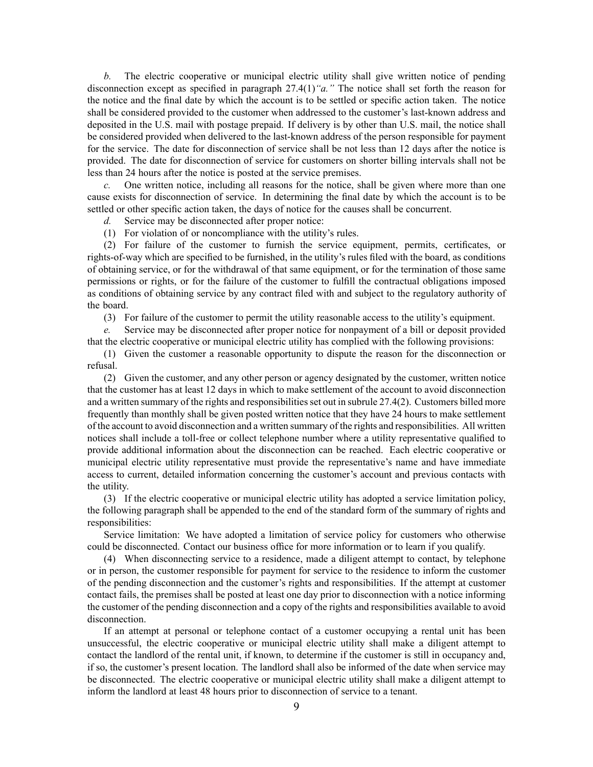*b.* The electric cooperative or municipal electric utility shall give written notice of pending disconnection excep<sup>t</sup> as specified in paragraph [27.4\(1\)](https://www.legis.iowa.gov/docs/iac/rule/199.27.4.pdf)*"a."* The notice shall set forth the reason for the notice and the final date by which the account is to be settled or specific action taken. The notice shall be considered provided to the customer when addressed to the customer's last-known address and deposited in the U.S. mail with postage prepaid. If delivery is by other than U.S. mail, the notice shall be considered provided when delivered to the last-known address of the person responsible for paymen<sup>t</sup> for the service. The date for disconnection of service shall be not less than 12 days after the notice is provided. The date for disconnection of service for customers on shorter billing intervals shall not be less than 24 hours after the notice is posted at the service premises.

*c.* One written notice, including all reasons for the notice, shall be given where more than one cause exists for disconnection of service. In determining the final date by which the account is to be settled or other specific action taken, the days of notice for the causes shall be concurrent.

- *d.* Service may be disconnected after proper notice:
- (1) For violation of or noncompliance with the utility's rules.

(2) For failure of the customer to furnish the service equipment, permits, certificates, or rights-of-way which are specified to be furnished, in the utility's rules filed with the board, as conditions of obtaining service, or for the withdrawal of that same equipment, or for the termination of those same permissions or rights, or for the failure of the customer to fulfill the contractual obligations imposed as conditions of obtaining service by any contract filed with and subject to the regulatory authority of the board.

(3) For failure of the customer to permit the utility reasonable access to the utility's equipment.

*e.* Service may be disconnected after proper notice for nonpaymen<sup>t</sup> of <sup>a</sup> bill or deposit provided that the electric cooperative or municipal electric utility has complied with the following provisions:

(1) Given the customer <sup>a</sup> reasonable opportunity to dispute the reason for the disconnection or refusal.

(2) Given the customer, and any other person or agency designated by the customer, written notice that the customer has at least 12 days in which to make settlement of the account to avoid disconnection and a written summary of the rights and responsibilities set out in subrule [27.4\(2\)](https://www.legis.iowa.gov/docs/iac/rule/199.27.4.pdf). Customers billed more frequently than monthly shall be given posted written notice that they have 24 hours to make settlement of the account to avoid disconnection and <sup>a</sup> written summary of the rights and responsibilities. All written notices shall include <sup>a</sup> toll-free or collect telephone number where <sup>a</sup> utility representative qualified to provide additional information about the disconnection can be reached. Each electric cooperative or municipal electric utility representative must provide the representative's name and have immediate access to current, detailed information concerning the customer's account and previous contacts with the utility.

(3) If the electric cooperative or municipal electric utility has adopted <sup>a</sup> service limitation policy, the following paragraph shall be appended to the end of the standard form of the summary of rights and responsibilities:

Service limitation: We have adopted <sup>a</sup> limitation of service policy for customers who otherwise could be disconnected. Contact our business office for more information or to learn if you qualify.

(4) When disconnecting service to <sup>a</sup> residence, made <sup>a</sup> diligent attempt to contact, by telephone or in person, the customer responsible for paymen<sup>t</sup> for service to the residence to inform the customer of the pending disconnection and the customer's rights and responsibilities. If the attempt at customer contact fails, the premises shall be posted at least one day prior to disconnection with <sup>a</sup> notice informing the customer of the pending disconnection and <sup>a</sup> copy of the rights and responsibilities available to avoid disconnection.

If an attempt at personal or telephone contact of <sup>a</sup> customer occupying <sup>a</sup> rental unit has been unsuccessful, the electric cooperative or municipal electric utility shall make <sup>a</sup> diligent attempt to contact the landlord of the rental unit, if known, to determine if the customer is still in occupancy and, if so, the customer's presen<sup>t</sup> location. The landlord shall also be informed of the date when service may be disconnected. The electric cooperative or municipal electric utility shall make <sup>a</sup> diligent attempt to inform the landlord at least 48 hours prior to disconnection of service to <sup>a</sup> tenant.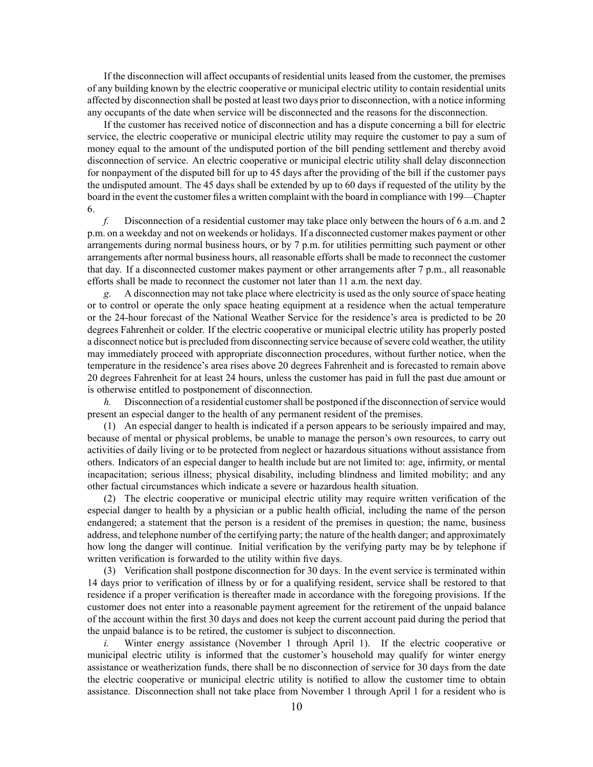If the disconnection will affect occupants of residential units leased from the customer, the premises of any building known by the electric cooperative or municipal electric utility to contain residential units affected by disconnection shall be posted at least two days prior to disconnection, with <sup>a</sup> notice informing any occupants of the date when service will be disconnected and the reasons for the disconnection.

If the customer has received notice of disconnection and has <sup>a</sup> dispute concerning <sup>a</sup> bill for electric service, the electric cooperative or municipal electric utility may require the customer to pay <sup>a</sup> sum of money equal to the amount of the undisputed portion of the bill pending settlement and thereby avoid disconnection of service. An electric cooperative or municipal electric utility shall delay disconnection for nonpaymen<sup>t</sup> of the disputed bill for up to 45 days after the providing of the bill if the customer pays the undisputed amount. The 45 days shall be extended by up to 60 days if requested of the utility by the board in the event the customer files <sup>a</sup> written complaint with the board in compliance with [199—Chapter](https://www.legis.iowa.gov/docs/iac/chapter/199.6.pdf) [6](https://www.legis.iowa.gov/docs/iac/chapter/199.6.pdf).

*f.* Disconnection of <sup>a</sup> residential customer may take place only between the hours of 6 a.m. and 2 p.m. on <sup>a</sup> weekday and not on weekends or holidays. If <sup>a</sup> disconnected customer makes paymen<sup>t</sup> or other arrangements during normal business hours, or by 7 p.m. for utilities permitting such paymen<sup>t</sup> or other arrangements after normal business hours, all reasonable efforts shall be made to reconnect the customer that day. If <sup>a</sup> disconnected customer makes paymen<sup>t</sup> or other arrangements after 7 p.m., all reasonable efforts shall be made to reconnect the customer not later than 11 a.m. the next day.

*g.* A disconnection may not take place where electricity is used as the only source of space heating or to control or operate the only space heating equipment at <sup>a</sup> residence when the actual temperature or the 24-hour forecast of the National Weather Service for the residence's area is predicted to be 20 degrees Fahrenheit or colder. If the electric cooperative or municipal electric utility has properly posted a disconnect notice but is precluded from disconnecting service because of severe cold weather, the utility may immediately proceed with appropriate disconnection procedures, without further notice, when the temperature in the residence's area rises above 20 degrees Fahrenheit and is forecasted to remain above 20 degrees Fahrenheit for at least 24 hours, unless the customer has paid in full the pas<sup>t</sup> due amount or is otherwise entitled to postponement of disconnection.

*h.* Disconnection of a residential customer shall be postponed if the disconnection of service would presen<sup>t</sup> an especial danger to the health of any permanen<sup>t</sup> resident of the premises.

(1) An especial danger to health is indicated if <sup>a</sup> person appears to be seriously impaired and may, because of mental or physical problems, be unable to manage the person's own resources, to carry out activities of daily living or to be protected from neglect or hazardous situations without assistance from others. Indicators of an especial danger to health include but are not limited to: age, infirmity, or mental incapacitation; serious illness; physical disability, including blindness and limited mobility; and any other factual circumstances which indicate <sup>a</sup> severe or hazardous health situation.

(2) The electric cooperative or municipal electric utility may require written verification of the especial danger to health by <sup>a</sup> physician or <sup>a</sup> public health official, including the name of the person endangered; <sup>a</sup> statement that the person is <sup>a</sup> resident of the premises in question; the name, business address, and telephone number of the certifying party; the nature of the health danger; and approximately how long the danger will continue. Initial verification by the verifying party may be by telephone if written verification is forwarded to the utility within five days.

(3) Verification shall postpone disconnection for 30 days. In the event service is terminated within 14 days prior to verification of illness by or for <sup>a</sup> qualifying resident, service shall be restored to that residence if <sup>a</sup> proper verification is thereafter made in accordance with the foregoing provisions. If the customer does not enter into <sup>a</sup> reasonable paymen<sup>t</sup> agreemen<sup>t</sup> for the retirement of the unpaid balance of the account within the first 30 days and does not keep the current account paid during the period that the unpaid balance is to be retired, the customer is subject to disconnection.

*i.* Winter energy assistance (November 1 through April 1). If the electric cooperative or municipal electric utility is informed that the customer's household may qualify for winter energy assistance or weatherization funds, there shall be no disconnection of service for 30 days from the date the electric cooperative or municipal electric utility is notified to allow the customer time to obtain assistance. Disconnection shall not take place from November 1 through April 1 for <sup>a</sup> resident who is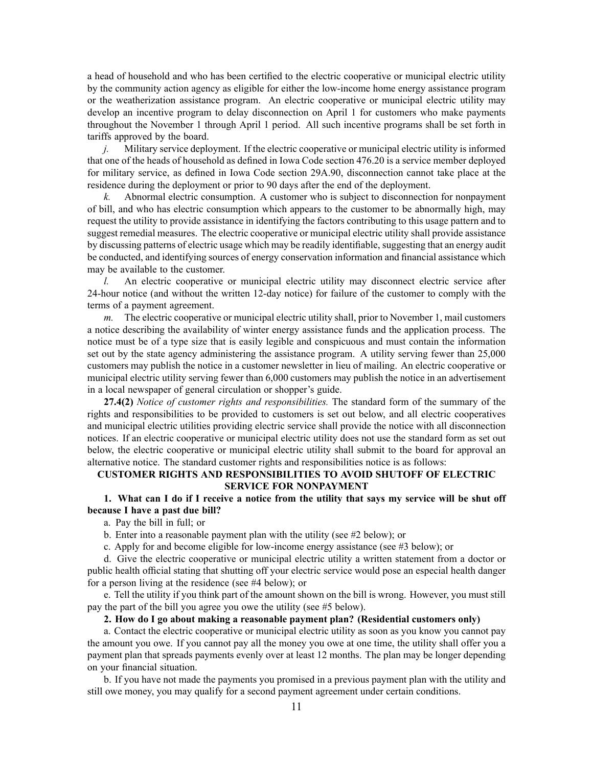<sup>a</sup> head of household and who has been certified to the electric cooperative or municipal electric utility by the community action agency as eligible for either the low-income home energy assistance program or the weatherization assistance program. An electric cooperative or municipal electric utility may develop an incentive program to delay disconnection on April 1 for customers who make payments throughout the November 1 through April 1 period. All such incentive programs shall be set forth in tariffs approved by the board.

*j.* Military service deployment. If the electric cooperative or municipal electric utility is informed that one of the heads of household as defined in Iowa Code section [476.20](https://www.legis.iowa.gov/docs/ico/section/476.20.pdf) is <sup>a</sup> service member deployed for military service, as defined in Iowa Code section [29A.90](https://www.legis.iowa.gov/docs/ico/section/29A.90.pdf), disconnection cannot take place at the residence during the deployment or prior to 90 days after the end of the deployment.

*k.* Abnormal electric consumption. A customer who is subject to disconnection for nonpaymen<sup>t</sup> of bill, and who has electric consumption which appears to the customer to be abnormally high, may reques<sup>t</sup> the utility to provide assistance in identifying the factors contributing to this usage pattern and to sugges<sup>t</sup> remedial measures. The electric cooperative or municipal electric utility shall provide assistance by discussing patterns of electric usage which may be readily identifiable, suggesting that an energy audit be conducted, and identifying sources of energy conservation information and financial assistance which may be available to the customer.

*l.* An electric cooperative or municipal electric utility may disconnect electric service after 24-hour notice (and without the written 12-day notice) for failure of the customer to comply with the terms of <sup>a</sup> paymen<sup>t</sup> agreement.

*m.* The electric cooperative or municipal electric utility shall, prior to November 1, mail customers <sup>a</sup> notice describing the availability of winter energy assistance funds and the application process. The notice must be of <sup>a</sup> type size that is easily legible and conspicuous and must contain the information set out by the state agency administering the assistance program. A utility serving fewer than 25,000 customers may publish the notice in <sup>a</sup> customer newsletter in lieu of mailing. An electric cooperative or municipal electric utility serving fewer than 6,000 customers may publish the notice in an advertisement in <sup>a</sup> local newspaper of general circulation or shopper's guide.

**27.4(2)** *Notice of customer rights and responsibilities.* The standard form of the summary of the rights and responsibilities to be provided to customers is set out below, and all electric cooperatives and municipal electric utilities providing electric service shall provide the notice with all disconnection notices. If an electric cooperative or municipal electric utility does not use the standard form as set out below, the electric cooperative or municipal electric utility shall submit to the board for approval an alternative notice. The standard customer rights and responsibilities notice is as follows:

# **CUSTOMER RIGHTS AND RESPONSIBILITIES TO AVOID SHUTOFF OF ELECTRIC SERVICE FOR NONPAYMENT**

1. What can I do if I receive a notice from the utility that says my service will be shut off **because I have <sup>a</sup> past due bill?**

a. Pay the bill in full; or

b. Enter into <sup>a</sup> reasonable paymen<sup>t</sup> plan with the utility (see #2 below); or

c. Apply for and become eligible for low-income energy assistance (see #3 below); or

d. Give the electric cooperative or municipal electric utility <sup>a</sup> written statement from <sup>a</sup> doctor or public health official stating that shutting off your electric service would pose an especial health danger for <sup>a</sup> person living at the residence (see #4 below); or

e. Tell the utility if you think par<sup>t</sup> of the amount shown on the bill is wrong. However, you must still pay the par<sup>t</sup> of the bill you agree you owe the utility (see #5 below).

#### **2. How do I go about making <sup>a</sup> reasonable payment plan? (Residential customers only)**

a. Contact the electric cooperative or municipal electric utility as soon as you know you cannot pay the amount you owe. If you cannot pay all the money you owe at one time, the utility shall offer you <sup>a</sup> paymen<sup>t</sup> plan that spreads payments evenly over at least 12 months. The plan may be longer depending on your financial situation.

b. If you have not made the payments you promised in <sup>a</sup> previous paymen<sup>t</sup> plan with the utility and still owe money, you may qualify for <sup>a</sup> second paymen<sup>t</sup> agreemen<sup>t</sup> under certain conditions.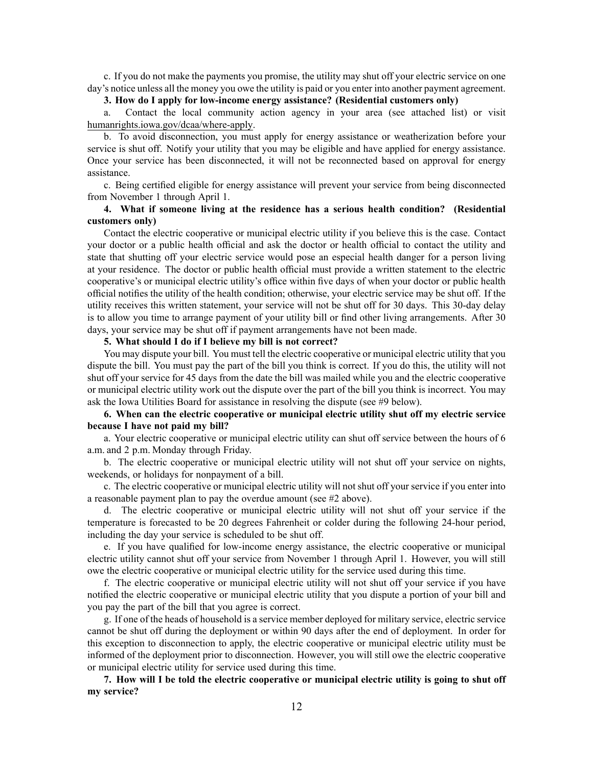c. If you do not make the payments you promise, the utility may shut off your electric service on one day's notice unless all the money you owe the utility is paid or you enter into another paymen<sup>t</sup> agreement.

# **3. How do I apply for low-income energy assistance? (Residential customers only)**

a. Contact the local community action agency in your area (see attached list) or visit [humanrights.iowa.gov/dcaa/where-apply](http://humanrights.iowa.gov/dcaa/where-apply).

b. To avoid disconnection, you must apply for energy assistance or weatherization before your service is shut off. Notify your utility that you may be eligible and have applied for energy assistance. Once your service has been disconnected, it will not be reconnected based on approval for energy assistance.

c. Being certified eligible for energy assistance will preven<sup>t</sup> your service from being disconnected from November 1 through April 1.

# **4. What if someone living at the residence has <sup>a</sup> serious health condition? (Residential customers only)**

Contact the electric cooperative or municipal electric utility if you believe this is the case. Contact your doctor or <sup>a</sup> public health official and ask the doctor or health official to contact the utility and state that shutting off your electric service would pose an especial health danger for <sup>a</sup> person living at your residence. The doctor or public health official must provide <sup>a</sup> written statement to the electric cooperative's or municipal electric utility's office within five days of when your doctor or public health official notifies the utility of the health condition; otherwise, your electric service may be shut off. If the utility receives this written statement, your service will not be shut off for 30 days. This 30-day delay is to allow you time to arrange paymen<sup>t</sup> of your utility bill or find other living arrangements. After 30 days, your service may be shut off if paymen<sup>t</sup> arrangements have not been made.

# **5. What should I do if I believe my bill is not correct?**

You may dispute your bill. You must tell the electric cooperative or municipal electric utility that you dispute the bill. You must pay the par<sup>t</sup> of the bill you think is correct. If you do this, the utility will not shut off your service for 45 days from the date the bill was mailed while you and the electric cooperative or municipal electric utility work out the dispute over the par<sup>t</sup> of the bill you think is incorrect. You may ask the Iowa Utilities Board for assistance in resolving the dispute (see #9 below).

# **6. When can the electric cooperative or municipal electric utility shut off my electric service because I have not paid my bill?**

a. Your electric cooperative or municipal electric utility can shut off service between the hours of 6 a.m. and 2 p.m. Monday through Friday.

b. The electric cooperative or municipal electric utility will not shut off your service on nights, weekends, or holidays for nonpaymen<sup>t</sup> of <sup>a</sup> bill.

c. The electric cooperative or municipal electric utility will not shut off your service if you enter into <sup>a</sup> reasonable paymen<sup>t</sup> plan to pay the overdue amount (see #2 above).

d. The electric cooperative or municipal electric utility will not shut off your service if the temperature is forecasted to be 20 degrees Fahrenheit or colder during the following 24-hour period, including the day your service is scheduled to be shut off.

e. If you have qualified for low-income energy assistance, the electric cooperative or municipal electric utility cannot shut off your service from November 1 through April 1. However, you will still owe the electric cooperative or municipal electric utility for the service used during this time.

f. The electric cooperative or municipal electric utility will not shut off your service if you have notified the electric cooperative or municipal electric utility that you dispute <sup>a</sup> portion of your bill and you pay the par<sup>t</sup> of the bill that you agree is correct.

g. If one of the heads of household is <sup>a</sup> service member deployed for military service, electric service cannot be shut off during the deployment or within 90 days after the end of deployment. In order for this exception to disconnection to apply, the electric cooperative or municipal electric utility must be informed of the deployment prior to disconnection. However, you will still owe the electric cooperative or municipal electric utility for service used during this time.

7. How will I be told the electric cooperative or municipal electric utility is going to shut off **my service?**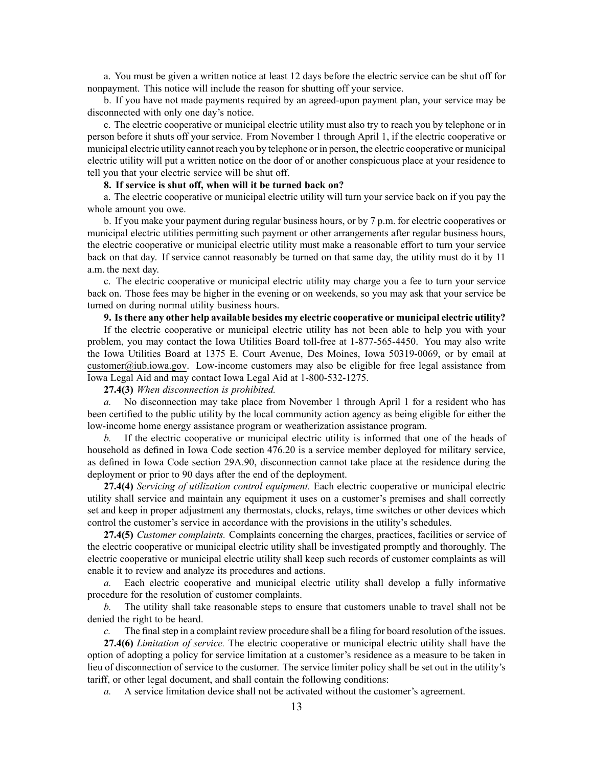a. You must be given <sup>a</sup> written notice at least 12 days before the electric service can be shut off for nonpayment. This notice will include the reason for shutting off your service.

b. If you have not made payments required by an agreed-upon paymen<sup>t</sup> plan, your service may be disconnected with only one day's notice.

c. The electric cooperative or municipal electric utility must also try to reach you by telephone or in person before it shuts off your service. From November 1 through April 1, if the electric cooperative or municipal electric utility cannot reach you by telephone or in person, the electric cooperative or municipal electric utility will pu<sup>t</sup> <sup>a</sup> written notice on the door of or another conspicuous place at your residence to tell you that your electric service will be shut off.

#### **8. If service is shut off, when will it be turned back on?**

a. The electric cooperative or municipal electric utility will turn your service back on if you pay the whole amount you owe.

b. If you make your paymen<sup>t</sup> during regular business hours, or by 7 p.m. for electric cooperatives or municipal electric utilities permitting such paymen<sup>t</sup> or other arrangements after regular business hours, the electric cooperative or municipal electric utility must make <sup>a</sup> reasonable effort to turn your service back on that day. If service cannot reasonably be turned on that same day, the utility must do it by 11 a.m. the next day.

c. The electric cooperative or municipal electric utility may charge you <sup>a</sup> fee to turn your service back on. Those fees may be higher in the evening or on weekends, so you may ask that your service be turned on during normal utility business hours.

### **9. Isthere any other help available besides my electric cooperative or municipal electric utility?**

If the electric cooperative or municipal electric utility has not been able to help you with your problem, you may contact the Iowa Utilities Board toll-free at 1-877-565-4450. You may also write the Iowa Utilities Board at 1375 E. Court Avenue, Des Moines, Iowa 50319-0069, or by email at [customer@iub.iowa.gov](mailto:customer@iub.iowa.gov). Low-income customers may also be eligible for free legal assistance from Iowa Legal Aid and may contact Iowa Legal Aid at 1-800-532-1275.

#### **27.4(3)** *When disconnection is prohibited.*

*a.* No disconnection may take place from November 1 through April 1 for <sup>a</sup> resident who has been certified to the public utility by the local community action agency as being eligible for either the low-income home energy assistance program or weatherization assistance program.

*b.* If the electric cooperative or municipal electric utility is informed that one of the heads of household as defined in Iowa Code section [476.20](https://www.legis.iowa.gov/docs/ico/section/476.20.pdf) is <sup>a</sup> service member deployed for military service, as defined in Iowa Code section [29A.90](https://www.legis.iowa.gov/docs/ico/section/29A.90.pdf), disconnection cannot take place at the residence during the deployment or prior to 90 days after the end of the deployment.

**27.4(4)** *Servicing of utilization control equipment.* Each electric cooperative or municipal electric utility shall service and maintain any equipment it uses on <sup>a</sup> customer's premises and shall correctly set and keep in proper adjustment any thermostats, clocks, relays, time switches or other devices which control the customer's service in accordance with the provisions in the utility's schedules.

**27.4(5)** *Customer complaints.* Complaints concerning the charges, practices, facilities or service of the electric cooperative or municipal electric utility shall be investigated promptly and thoroughly. The electric cooperative or municipal electric utility shall keep such records of customer complaints as will enable it to review and analyze its procedures and actions.

*a.* Each electric cooperative and municipal electric utility shall develop <sup>a</sup> fully informative procedure for the resolution of customer complaints.

*b.* The utility shall take reasonable steps to ensure that customers unable to travel shall not be denied the right to be heard.

*c.* The final step in a complaint review procedure shall be a filing for board resolution of the issues.

**27.4(6)** *Limitation of service.* The electric cooperative or municipal electric utility shall have the option of adopting <sup>a</sup> policy for service limitation at <sup>a</sup> customer's residence as <sup>a</sup> measure to be taken in lieu of disconnection of service to the customer. The service limiter policy shall be set out in the utility's tariff, or other legal document, and shall contain the following conditions:

*a.* A service limitation device shall not be activated without the customer's agreement.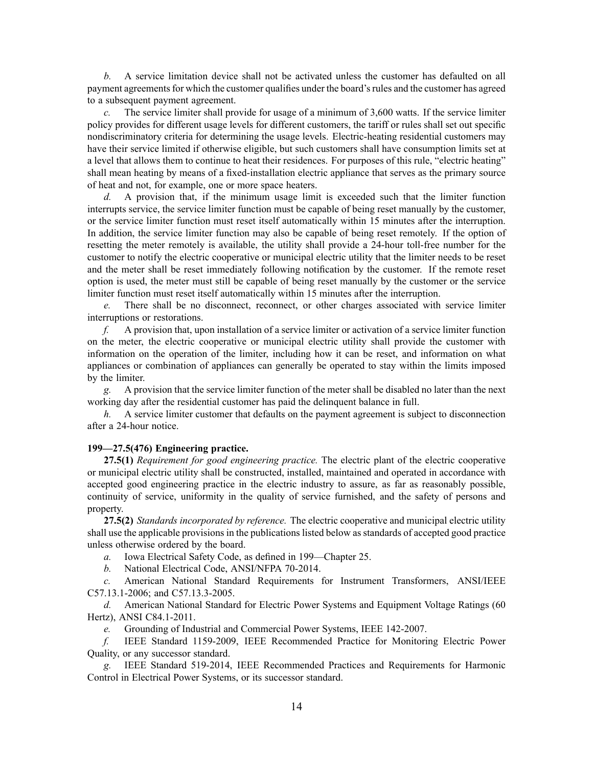*b.* A service limitation device shall not be activated unless the customer has defaulted on all payment agreements for which the customer qualifies under the board's rules and the customer has agreed to <sup>a</sup> subsequent paymen<sup>t</sup> agreement.

*c.* The service limiter shall provide for usage of <sup>a</sup> minimum of 3,600 watts. If the service limiter policy provides for different usage levels for different customers, the tariff or rules shall set out specific nondiscriminatory criteria for determining the usage levels. Electric-heating residential customers may have their service limited if otherwise eligible, but such customers shall have consumption limits set at <sup>a</sup> level that allows them to continue to heat their residences. For purposes of this rule, "electric heating" shall mean heating by means of <sup>a</sup> fixed-installation electric appliance that serves as the primary source of heat and not, for example, one or more space heaters.

*d.* A provision that, if the minimum usage limit is exceeded such that the limiter function interrupts service, the service limiter function must be capable of being reset manually by the customer, or the service limiter function must reset itself automatically within 15 minutes after the interruption. In addition, the service limiter function may also be capable of being reset remotely. If the option of resetting the meter remotely is available, the utility shall provide <sup>a</sup> 24-hour toll-free number for the customer to notify the electric cooperative or municipal electric utility that the limiter needs to be reset and the meter shall be reset immediately following notification by the customer. If the remote reset option is used, the meter must still be capable of being reset manually by the customer or the service limiter function must reset itself automatically within 15 minutes after the interruption.

*e.* There shall be no disconnect, reconnect, or other charges associated with service limiter interruptions or restorations.

*f.* A provision that, upon installation of <sup>a</sup> service limiter or activation of <sup>a</sup> service limiter function on the meter, the electric cooperative or municipal electric utility shall provide the customer with information on the operation of the limiter, including how it can be reset, and information on what appliances or combination of appliances can generally be operated to stay within the limits imposed by the limiter.

*g.* A provision that the service limiter function of the meter shall be disabled no later than the next working day after the residential customer has paid the delinquent balance in full.

*h.* A service limiter customer that defaults on the paymen<sup>t</sup> agreemen<sup>t</sup> is subject to disconnection after <sup>a</sup> 24-hour notice.

#### **199—27.5(476) Engineering practice.**

**27.5(1)** *Requirement for good engineering practice.* The electric plant of the electric cooperative or municipal electric utility shall be constructed, installed, maintained and operated in accordance with accepted good engineering practice in the electric industry to assure, as far as reasonably possible, continuity of service, uniformity in the quality of service furnished, and the safety of persons and property.

**27.5(2)** *Standards incorporated by reference.* The electric cooperative and municipal electric utility shall use the applicable provisions in the publications listed below as standards of accepted good practice unless otherwise ordered by the board.

*a.* Iowa Electrical Safety Code, as defined in [199—Chapter](https://www.legis.iowa.gov/docs/iac/chapter/199.25.pdf) 25.

*b.* National Electrical Code, ANSI/NFPA 70-2014.

*c.* American National Standard Requirements for Instrument Transformers, ANSI/IEEE C57.13.1-2006; and C57.13.3-2005.

*d.* American National Standard for Electric Power Systems and Equipment Voltage Ratings (60 Hertz), ANSI C84.1-2011.

*e.* Grounding of Industrial and Commercial Power Systems, IEEE 142-2007.

*f.* IEEE Standard 1159-2009, IEEE Recommended Practice for Monitoring Electric Power Quality, or any successor standard.

*g.* IEEE Standard 519-2014, IEEE Recommended Practices and Requirements for Harmonic Control in Electrical Power Systems, or its successor standard.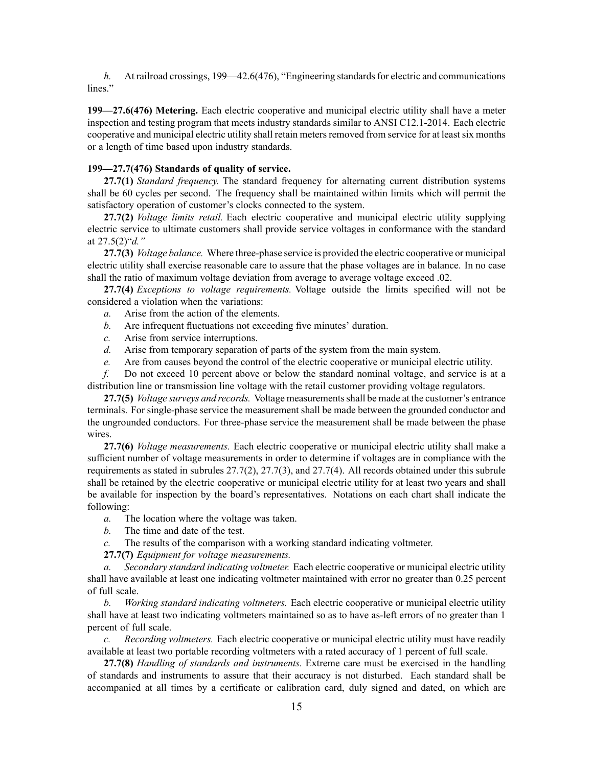*h.* At railroad crossings, [199—42.6](https://www.legis.iowa.gov/docs/iac/rule/199.42.6.pdf)(476), "Engineering standards for electric and communications lines."

**199—27.6(476) Metering.** Each electric cooperative and municipal electric utility shall have <sup>a</sup> meter inspection and testing program that meets industry standards similar to ANSI C12.1-2014. Each electric cooperative and municipal electric utility shall retain meters removed from service for at least six months or <sup>a</sup> length of time based upon industry standards.

#### **199—27.7(476) Standards of quality of service.**

**27.7(1)** *Standard frequency.* The standard frequency for alternating current distribution systems shall be 60 cycles per second. The frequency shall be maintained within limits which will permit the satisfactory operation of customer's clocks connected to the system.

**27.7(2)** *Voltage limits retail.* Each electric cooperative and municipal electric utility supplying electric service to ultimate customers shall provide service voltages in conformance with the standard at [27.5\(2\)"](https://www.legis.iowa.gov/docs/iac/rule/199.27.5.pdf)*d."*

**27.7(3)** *Voltage balance.* Where three-phase service is provided the electric cooperative or municipal electric utility shall exercise reasonable care to assure that the phase voltages are in balance. In no case shall the ratio of maximum voltage deviation from average to average voltage exceed .02.

**27.7(4)** *Exceptions to voltage requirements.* Voltage outside the limits specified will not be considered <sup>a</sup> violation when the variations:

- *a.* Arise from the action of the elements.
- *b.* Are infrequent fluctuations not exceeding five minutes' duration.
- *c.* Arise from service interruptions.
- *d.* Arise from temporary separation of parts of the system from the main system.
- *e.* Are from causes beyond the control of the electric cooperative or municipal electric utility.

*f.* Do not exceed 10 percen<sup>t</sup> above or below the standard nominal voltage, and service is at <sup>a</sup> distribution line or transmission line voltage with the retail customer providing voltage regulators.

**27.7(5)** *Voltage surveys and records.* Voltage measurementsshall be made at the customer's entrance terminals. For single-phase service the measurement shall be made between the grounded conductor and the ungrounded conductors. For three-phase service the measurement shall be made between the phase wires.

**27.7(6)** *Voltage measurements.* Each electric cooperative or municipal electric utility shall make <sup>a</sup> sufficient number of voltage measurements in order to determine if voltages are in compliance with the requirements as stated in subrules [27.7\(2\)](https://www.legis.iowa.gov/docs/iac/rule/199.27.7.pdf), [27.7\(3\)](https://www.legis.iowa.gov/docs/iac/rule/199.27.7.pdf), and [27.7\(4\)](https://www.legis.iowa.gov/docs/iac/rule/199.27.7.pdf). All records obtained under this subrule shall be retained by the electric cooperative or municipal electric utility for at least two years and shall be available for inspection by the board's representatives. Notations on each chart shall indicate the following:

*a.* The location where the voltage was taken.

*b.* The time and date of the test.

*c.* The results of the comparison with <sup>a</sup> working standard indicating voltmeter.

**27.7(7)** *Equipment for voltage measurements.*

*a. Secondary standard indicating voltmeter.* Each electric cooperative or municipal electric utility shall have available at least one indicating voltmeter maintained with error no greater than 0.25 percen<sup>t</sup> of full scale.

*b. Working standard indicating voltmeters.* Each electric cooperative or municipal electric utility shall have at least two indicating voltmeters maintained so as to have as-left errors of no greater than 1 percen<sup>t</sup> of full scale.

*c. Recording voltmeters.* Each electric cooperative or municipal electric utility must have readily available at least two portable recording voltmeters with <sup>a</sup> rated accuracy of 1 percen<sup>t</sup> of full scale.

**27.7(8)** *Handling of standards and instruments.* Extreme care must be exercised in the handling of standards and instruments to assure that their accuracy is not disturbed. Each standard shall be accompanied at all times by <sup>a</sup> certificate or calibration card, duly signed and dated, on which are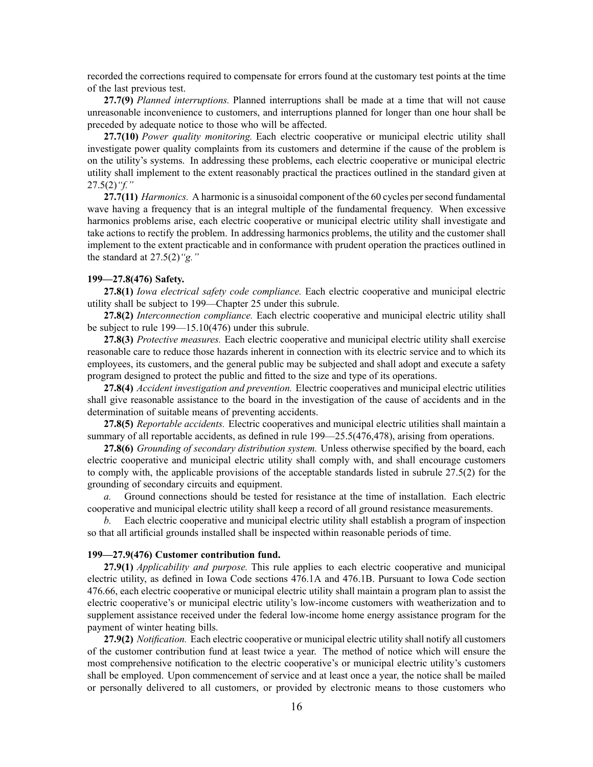recorded the corrections required to compensate for errors found at the customary test points at the time of the last previous test.

**27.7(9)** *Planned interruptions.* Planned interruptions shall be made at <sup>a</sup> time that will not cause unreasonable inconvenience to customers, and interruptions planned for longer than one hour shall be preceded by adequate notice to those who will be affected.

**27.7(10)** *Power quality monitoring.* Each electric cooperative or municipal electric utility shall investigate power quality complaints from its customers and determine if the cause of the problem is on the utility's systems. In addressing these problems, each electric cooperative or municipal electric utility shall implement to the extent reasonably practical the practices outlined in the standard given at [27.5\(2\)](https://www.legis.iowa.gov/docs/iac/rule/199.27.5.pdf)*"f."*

**27.7(11)** *Harmonics.* A harmonic is <sup>a</sup> sinusoidal componen<sup>t</sup> of the 60 cycles persecond fundamental wave having <sup>a</sup> frequency that is an integral multiple of the fundamental frequency. When excessive harmonics problems arise, each electric cooperative or municipal electric utility shall investigate and take actions to rectify the problem. In addressing harmonics problems, the utility and the customer shall implement to the extent practicable and in conformance with prudent operation the practices outlined in the standard at [27.5\(2\)](https://www.legis.iowa.gov/docs/iac/rule/199.27.5.pdf)*"g."*

### **199—27.8(476) Safety.**

**27.8(1)** *Iowa electrical safety code compliance.* Each electric cooperative and municipal electric utility shall be subject to 199[—Chapter](https://www.legis.iowa.gov/docs/iac/chapter/199.25.pdf) 25 under this subrule.

**27.8(2)** *Interconnection compliance.* Each electric cooperative and municipal electric utility shall be subject to rule [199—15.10\(476\)](https://www.legis.iowa.gov/docs/iac/rule/199.15.10.pdf) under this subrule.

**27.8(3)** *Protective measures.* Each electric cooperative and municipal electric utility shall exercise reasonable care to reduce those hazards inherent in connection with its electric service and to which its employees, its customers, and the general public may be subjected and shall adopt and execute <sup>a</sup> safety program designed to protect the public and fitted to the size and type of its operations.

**27.8(4)** *Accident investigation and prevention.* Electric cooperatives and municipal electric utilities shall give reasonable assistance to the board in the investigation of the cause of accidents and in the determination of suitable means of preventing accidents.

**27.8(5)** *Reportable accidents.* Electric cooperatives and municipal electric utilities shall maintain <sup>a</sup> summary of all reportable accidents, as defined in rule  $199 - 25.5(476,478)$ , arising from operations.

**27.8(6)** *Grounding of secondary distribution system.* Unless otherwise specified by the board, each electric cooperative and municipal electric utility shall comply with, and shall encourage customers to comply with, the applicable provisions of the acceptable standards listed in subrule [27.5\(2\)](https://www.legis.iowa.gov/docs/iac/rule/199.27.5.pdf) for the grounding of secondary circuits and equipment.

*a.* Ground connections should be tested for resistance at the time of installation. Each electric cooperative and municipal electric utility shall keep <sup>a</sup> record of all ground resistance measurements.

*b.* Each electric cooperative and municipal electric utility shall establish <sup>a</sup> program of inspection so that all artificial grounds installed shall be inspected within reasonable periods of time.

### **199—27.9(476) Customer contribution fund.**

**27.9(1)** *Applicability and purpose.* This rule applies to each electric cooperative and municipal electric utility, as defined in Iowa Code sections [476.1A](https://www.legis.iowa.gov/docs/ico/section/476.1A.pdf) and [476.1B](https://www.legis.iowa.gov/docs/ico/section/476.1B.pdf). Pursuant to Iowa Code section [476.66](https://www.legis.iowa.gov/docs/ico/section/476.66.pdf), each electric cooperative or municipal electric utility shall maintain <sup>a</sup> program plan to assist the electric cooperative's or municipal electric utility's low-income customers with weatherization and to supplement assistance received under the federal low-income home energy assistance program for the paymen<sup>t</sup> of winter heating bills.

**27.9(2)** *Notification.* Each electric cooperative or municipal electric utility shall notify all customers of the customer contribution fund at least twice <sup>a</sup> year. The method of notice which will ensure the most comprehensive notification to the electric cooperative's or municipal electric utility's customers shall be employed. Upon commencement of service and at least once <sup>a</sup> year, the notice shall be mailed or personally delivered to all customers, or provided by electronic means to those customers who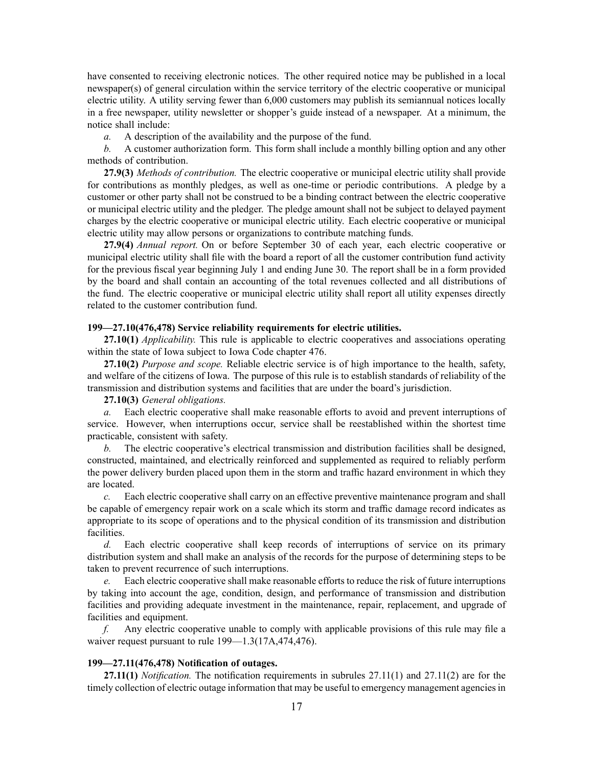have consented to receiving electronic notices. The other required notice may be published in <sup>a</sup> local newspaper(s) of general circulation within the service territory of the electric cooperative or municipal electric utility. A utility serving fewer than 6,000 customers may publish its semiannual notices locally in <sup>a</sup> free newspaper, utility newsletter or shopper's guide instead of <sup>a</sup> newspaper. At <sup>a</sup> minimum, the notice shall include:

*a.* A description of the availability and the purpose of the fund.

*b.* A customer authorization form. This form shall include <sup>a</sup> monthly billing option and any other methods of contribution.

**27.9(3)** *Methods of contribution.* The electric cooperative or municipal electric utility shall provide for contributions as monthly pledges, as well as one-time or periodic contributions. A pledge by <sup>a</sup> customer or other party shall not be construed to be <sup>a</sup> binding contract between the electric cooperative or municipal electric utility and the pledger. The pledge amount shall not be subject to delayed paymen<sup>t</sup> charges by the electric cooperative or municipal electric utility. Each electric cooperative or municipal electric utility may allow persons or organizations to contribute matching funds.

**27.9(4)** *Annual report.* On or before September 30 of each year, each electric cooperative or municipal electric utility shall file with the board <sup>a</sup> repor<sup>t</sup> of all the customer contribution fund activity for the previous fiscal year beginning July 1 and ending June 30. The repor<sup>t</sup> shall be in <sup>a</sup> form provided by the board and shall contain an accounting of the total revenues collected and all distributions of the fund. The electric cooperative or municipal electric utility shall repor<sup>t</sup> all utility expenses directly related to the customer contribution fund.

### **199—27.10(476,478) Service reliability requirements for electric utilities.**

**27.10(1)** *Applicability.* This rule is applicable to electric cooperatives and associations operating within the state of Iowa subject to Iowa Code chapter [476](https://www.legis.iowa.gov/docs/ico/chapter/476.pdf).

**27.10(2)** *Purpose and scope.* Reliable electric service is of high importance to the health, safety, and welfare of the citizens of Iowa. The purpose of this rule is to establish standards of reliability of the transmission and distribution systems and facilities that are under the board's jurisdiction.

# **27.10(3)** *General obligations.*

*a.* Each electric cooperative shall make reasonable efforts to avoid and preven<sup>t</sup> interruptions of service. However, when interruptions occur, service shall be reestablished within the shortest time practicable, consistent with safety.

*b.* The electric cooperative's electrical transmission and distribution facilities shall be designed, constructed, maintained, and electrically reinforced and supplemented as required to reliably perform the power delivery burden placed upon them in the storm and traffic hazard environment in which they are located.

*c.* Each electric cooperative shall carry on an effective preventive maintenance program and shall be capable of emergency repair work on <sup>a</sup> scale which its storm and traffic damage record indicates as appropriate to its scope of operations and to the physical condition of its transmission and distribution facilities.

*d.* Each electric cooperative shall keep records of interruptions of service on its primary distribution system and shall make an analysis of the records for the purpose of determining steps to be taken to preven<sup>t</sup> recurrence of such interruptions.

*e.* Each electric cooperative shall make reasonable efforts to reduce the risk of future interruptions by taking into account the age, condition, design, and performance of transmission and distribution facilities and providing adequate investment in the maintenance, repair, replacement, and upgrade of facilities and equipment.

*f.* Any electric cooperative unable to comply with applicable provisions of this rule may file <sup>a</sup> waiver request pursuant to rule 199—1.3(17A,474,476).

#### **199—27.11(476,478) Notification of outages.**

**27.11(1)** *Notification.* The notification requirements in subrules [27.11\(1\)](https://www.legis.iowa.gov/docs/iac/rule/199.27.11.pdf) and [27.11\(2\)](https://www.legis.iowa.gov/docs/iac/rule/199.27.11.pdf) are for the timely collection of electric outage information that may be useful to emergency management agencies in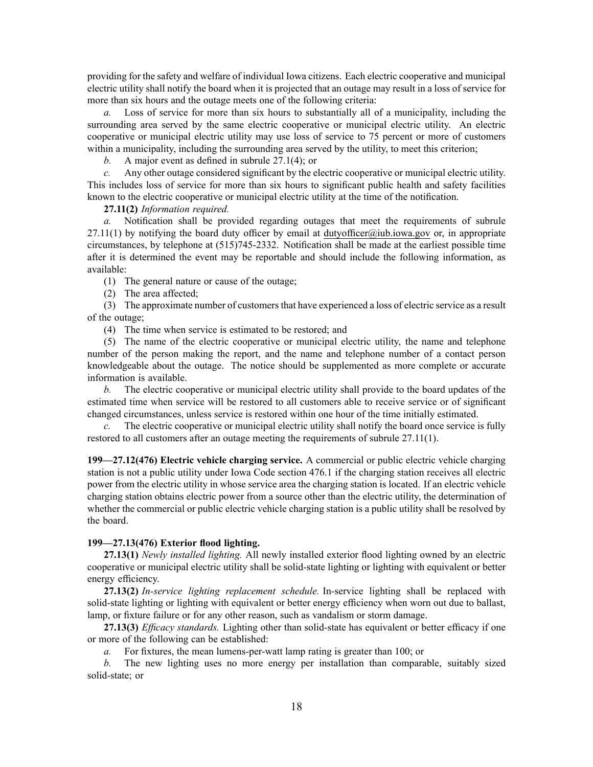providing for the safety and welfare of individual Iowa citizens. Each electric cooperative and municipal electric utility shall notify the board when it is projected that an outage may result in <sup>a</sup> loss of service for more than six hours and the outage meets one of the following criteria:

*a.* Loss of service for more than six hours to substantially all of <sup>a</sup> municipality, including the surrounding area served by the same electric cooperative or municipal electric utility. An electric cooperative or municipal electric utility may use loss of service to 75 percen<sup>t</sup> or more of customers within a municipality, including the surrounding area served by the utility, to meet this criterion;

*b.* A major event as defined in subrule [27.1\(4\)](https://www.legis.iowa.gov/docs/iac/rule/199.27.1.pdf); or

*c.* Any other outage considered significant by the electric cooperative or municipal electric utility. This includes loss of service for more than six hours to significant public health and safety facilities known to the electric cooperative or municipal electric utility at the time of the notification.

**27.11(2)** *Information required.*

*a.* Notification shall be provided regarding outages that meet the requirements of [subrule](https://www.legis.iowa.gov/docs/iac/rule/199.27.11.pdf)  $27.11(1)$  by notifying the board duty officer by email at [dutyofficer@iub.iowa.gov](mailto:dutyofficer@iub.iowa.gov) or, in appropriate circumstances, by telephone at (515)745-2332. Notification shall be made at the earliest possible time after it is determined the event may be reportable and should include the following information, as available:

(1) The general nature or cause of the outage;

(2) The area affected;

(3) The approximate number of customersthat have experienced <sup>a</sup> loss of electric service as <sup>a</sup> result of the outage;

(4) The time when service is estimated to be restored; and

(5) The name of the electric cooperative or municipal electric utility, the name and telephone number of the person making the report, and the name and telephone number of <sup>a</sup> contact person knowledgeable about the outage. The notice should be supplemented as more complete or accurate information is available.

*b.* The electric cooperative or municipal electric utility shall provide to the board updates of the estimated time when service will be restored to all customers able to receive service or of significant changed circumstances, unless service is restored within one hour of the time initially estimated.

The electric cooperative or municipal electric utility shall notify the board once service is fully restored to all customers after an outage meeting the requirements of subrule [27.11\(1\)](https://www.legis.iowa.gov/docs/iac/rule/199.27.11.pdf).

**199—27.12(476) Electric vehicle charging service.** A commercial or public electric vehicle charging station is not <sup>a</sup> public utility under Iowa Code section [476.1](https://www.legis.iowa.gov/docs/ico/section/476.1.pdf) if the charging station receives all electric power from the electric utility in whose service area the charging station is located. If an electric vehicle charging station obtains electric power from <sup>a</sup> source other than the electric utility, the determination of whether the commercial or public electric vehicle charging station is <sup>a</sup> public utility shall be resolved by the board.

### **199—27.13(476) Exterior flood lighting.**

**27.13(1)** *Newly installed lighting.* All newly installed exterior flood lighting owned by an electric cooperative or municipal electric utility shall be solid-state lighting or lighting with equivalent or better energy efficiency.

**27.13(2)** *In-service lighting replacement schedule.* In-service lighting shall be replaced with solid-state lighting or lighting with equivalent or better energy efficiency when worn out due to ballast, lamp, or fixture failure or for any other reason, such as vandalism or storm damage.

**27.13(3)** *Efficacy standards.* Lighting other than solid-state has equivalent or better efficacy if one or more of the following can be established:

*a.* For fixtures, the mean lumens-per-watt lamp rating is greater than 100; or

*b.* The new lighting uses no more energy per installation than comparable, suitably sized solid-state; or